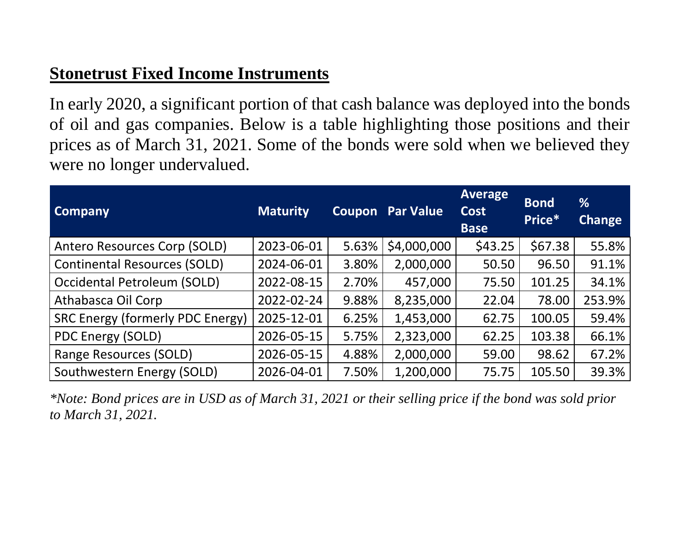## **Stonetrust Fixed Income Instruments**

In early 2020, a significant portion of that cash balance was deployed into the bonds of oil and gas companies. Below is a table highlighting those positions and their prices as of March 31, 2021. Some of the bonds were sold when we believed they were no longer undervalued.

| <b>Company</b>                          | <b>Maturity</b> |       | <b>Coupon Par Value</b> | <b>Average</b><br><b>Cost</b><br><b>Base</b> | <b>Bond</b><br>Price* | %<br><b>Change</b> |
|-----------------------------------------|-----------------|-------|-------------------------|----------------------------------------------|-----------------------|--------------------|
| Antero Resources Corp (SOLD)            | 2023-06-01      | 5.63% | \$4,000,000             | \$43.25                                      | \$67.38               | 55.8%              |
| <b>Continental Resources (SOLD)</b>     | 2024-06-01      | 3.80% | 2,000,000               | 50.50                                        | 96.50                 | 91.1%              |
| Occidental Petroleum (SOLD)             | 2022-08-15      | 2.70% | 457,000                 | 75.50                                        | 101.25                | 34.1%              |
| Athabasca Oil Corp                      | 2022-02-24      | 9.88% | 8,235,000               | 22.04                                        | 78.00                 | 253.9%             |
| <b>SRC Energy (formerly PDC Energy)</b> | 2025-12-01      | 6.25% | 1,453,000               | 62.75                                        | 100.05                | 59.4%              |
| PDC Energy (SOLD)                       | 2026-05-15      | 5.75% | 2,323,000               | 62.25                                        | 103.38                | 66.1%              |
| Range Resources (SOLD)                  | 2026-05-15      | 4.88% | 2,000,000               | 59.00                                        | 98.62                 | 67.2%              |
| Southwestern Energy (SOLD)              | 2026-04-01      | 7.50% | 1,200,000               | 75.75                                        | 105.50                | 39.3%              |

*\*Note: Bond prices are in USD as of March 31, 2021 or their selling price if the bond was sold prior to March 31, 2021.*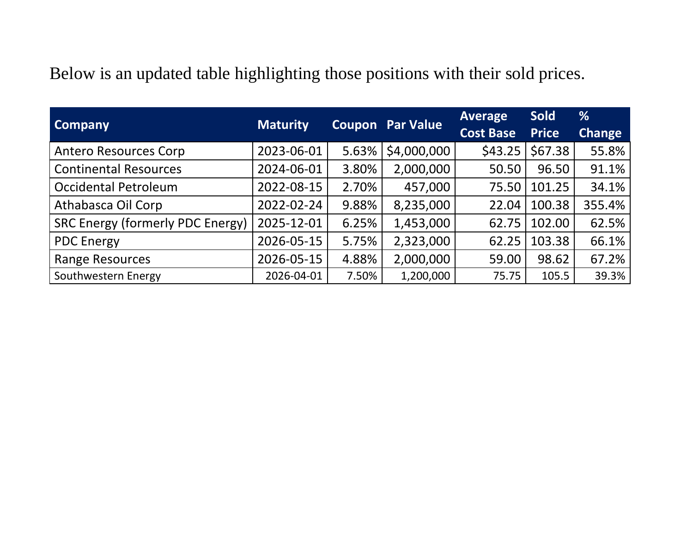Below is an updated table highlighting those positions with their sold prices.

|                                         |                 | <b>Coupon Par Value</b> |             | <b>Average</b>   | <b>Sold</b>  | %             |
|-----------------------------------------|-----------------|-------------------------|-------------|------------------|--------------|---------------|
| <b>Company</b>                          | <b>Maturity</b> |                         |             | <b>Cost Base</b> | <b>Price</b> | <b>Change</b> |
| <b>Antero Resources Corp</b>            | 2023-06-01      | 5.63%                   | \$4,000,000 | \$43.25          | \$67.38      | 55.8%         |
| <b>Continental Resources</b>            | 2024-06-01      | 3.80%                   | 2,000,000   | 50.50            | 96.50        | 91.1%         |
| <b>Occidental Petroleum</b>             | 2022-08-15      | 2.70%                   | 457,000     | 75.50            | 101.25       | 34.1%         |
| Athabasca Oil Corp                      | 2022-02-24      | 9.88%                   | 8,235,000   | 22.04            | 100.38       | 355.4%        |
| <b>SRC Energy (formerly PDC Energy)</b> | 2025-12-01      | 6.25%                   | 1,453,000   | 62.75            | 102.00       | 62.5%         |
| <b>PDC Energy</b>                       | 2026-05-15      | 5.75%                   | 2,323,000   | 62.25            | 103.38       | 66.1%         |
| <b>Range Resources</b>                  | 2026-05-15      | 4.88%                   | 2,000,000   | 59.00            | 98.62        | 67.2%         |
| Southwestern Energy                     | 2026-04-01      | 7.50%                   | 1,200,000   | 75.75            | 105.5        | 39.3%         |